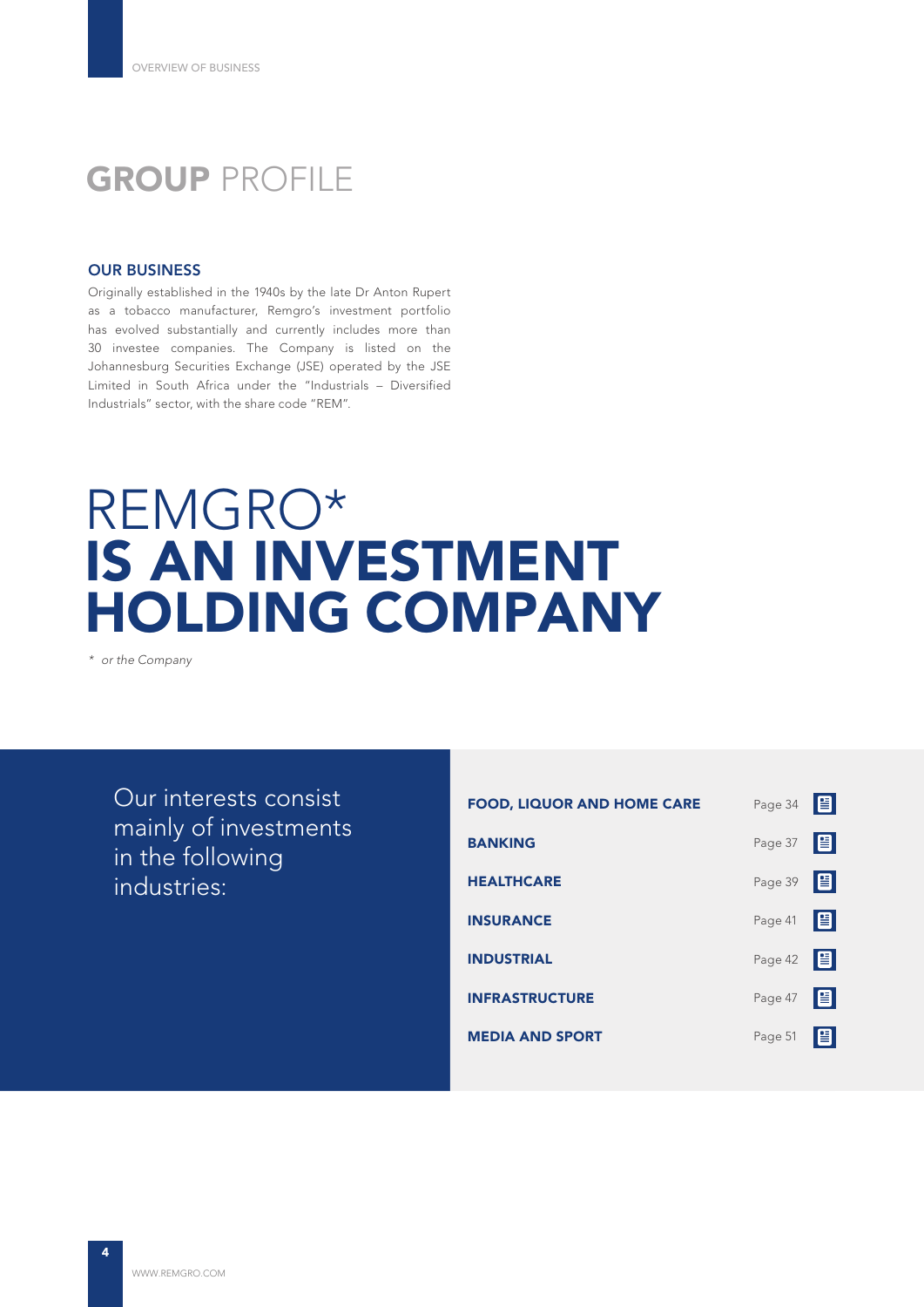## **GROUP PROFILE**

#### OUR BUSINESS

Originally established in the 1940s by the late Dr Anton Rupert as a tobacco manufacturer, Remgro's investment portfolio has evolved substantially and currently includes more than 30 investee companies. The Company is listed on the Johannesburg Securities Exchange (JSE) operated by the JSE Limited in South Africa under the "Industrials – Diversified Industrials" sector, with the share code "REM".

## REMGRO\* IS AN INVESTMENT HOLDING COMPANY

*\* or the Company*

Our interests consist mainly of investments in the following industries:

| <b>FOOD, LIQUOR AND HOME CARE</b> | Page 34 | 旧    |
|-----------------------------------|---------|------|
| <b>BANKING</b>                    | Page 37 | 旧    |
| <b>HEALTHCARE</b>                 | Page 39 | 阊    |
| <b>INSURANCE</b>                  | Page 41 | 旧    |
| <b>INDUSTRIAL</b>                 | Page 42 | le i |
| <b>INFRASTRUCTURE</b>             | Page 47 | 目    |
| <b>MEDIA AND SPORT</b>            | Page 51 | 昌    |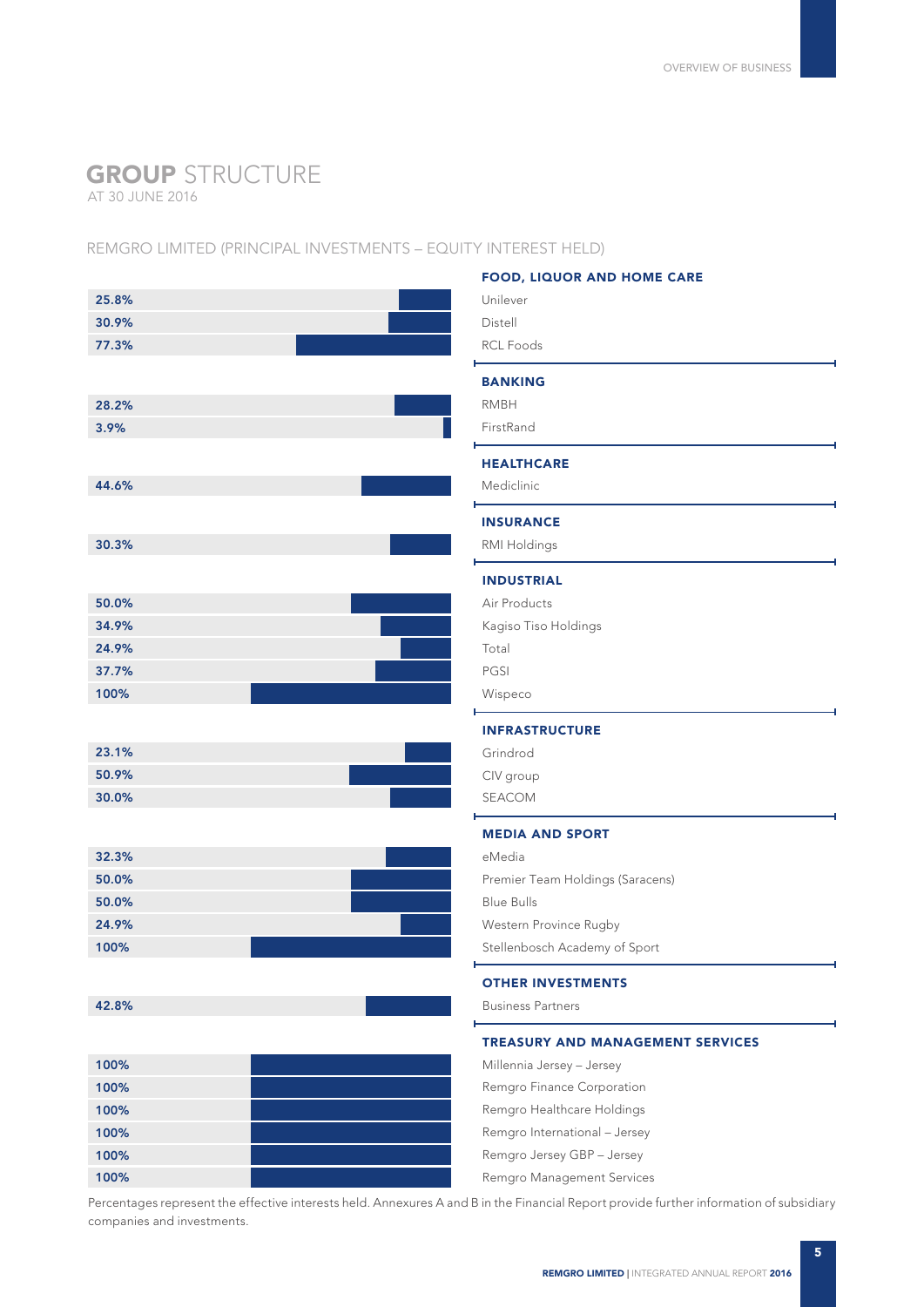## GROUP STRUCTURE

AT 30 JUNE 2016

#### REMGRO LIMITED (PRINCIPAL INVESTMENTS – EQUITY INTEREST HELD)

|       | <b>FOOD, LIQUOR AND HOME CARE</b>       |
|-------|-----------------------------------------|
| 25.8% | Unilever                                |
| 30.9% | Distell                                 |
| 77.3% | <b>RCL Foods</b>                        |
|       | <b>BANKING</b>                          |
| 28.2% | <b>RMBH</b>                             |
| 3.9%  | FirstRand                               |
|       |                                         |
|       | <b>HEALTHCARE</b>                       |
| 44.6% | Mediclinic                              |
|       | <b>INSURANCE</b>                        |
| 30.3% | RMI Holdings                            |
|       | <b>INDUSTRIAL</b>                       |
| 50.0% | Air Products                            |
| 34.9% | Kagiso Tiso Holdings                    |
| 24.9% | Total                                   |
| 37.7% | PGSI                                    |
| 100%  | Wispeco                                 |
|       | <b>INFRASTRUCTURE</b>                   |
| 23.1% | Grindrod                                |
| 50.9% | CIV group                               |
| 30.0% | SEACOM                                  |
|       |                                         |
|       | <b>MEDIA AND SPORT</b>                  |
| 32.3% | eMedia                                  |
| 50.0% | Premier Team Holdings (Saracens)        |
| 50.0% | <b>Blue Bulls</b>                       |
| 24.9% | Western Province Rugby                  |
| 100%  | Stellenbosch Academy of Sport           |
|       | <b>OTHER INVESTMENTS</b>                |
| 42.8% | <b>Business Partners</b>                |
|       | <b>TREASURY AND MANAGEMENT SERVICES</b> |
| 100%  | Millennia Jersey - Jersey               |
| 100%  | Remgro Finance Corporation              |
| 100%  | Remgro Healthcare Holdings              |
| 100%  | Remgro International - Jersey           |
| 100%  | Remgro Jersey GBP - Jersey              |
| 100%  | Remgro Management Services              |
|       |                                         |

Percentages represent the effective interests held. Annexures A and B in the Financial Report provide further information of subsidiary companies and investments.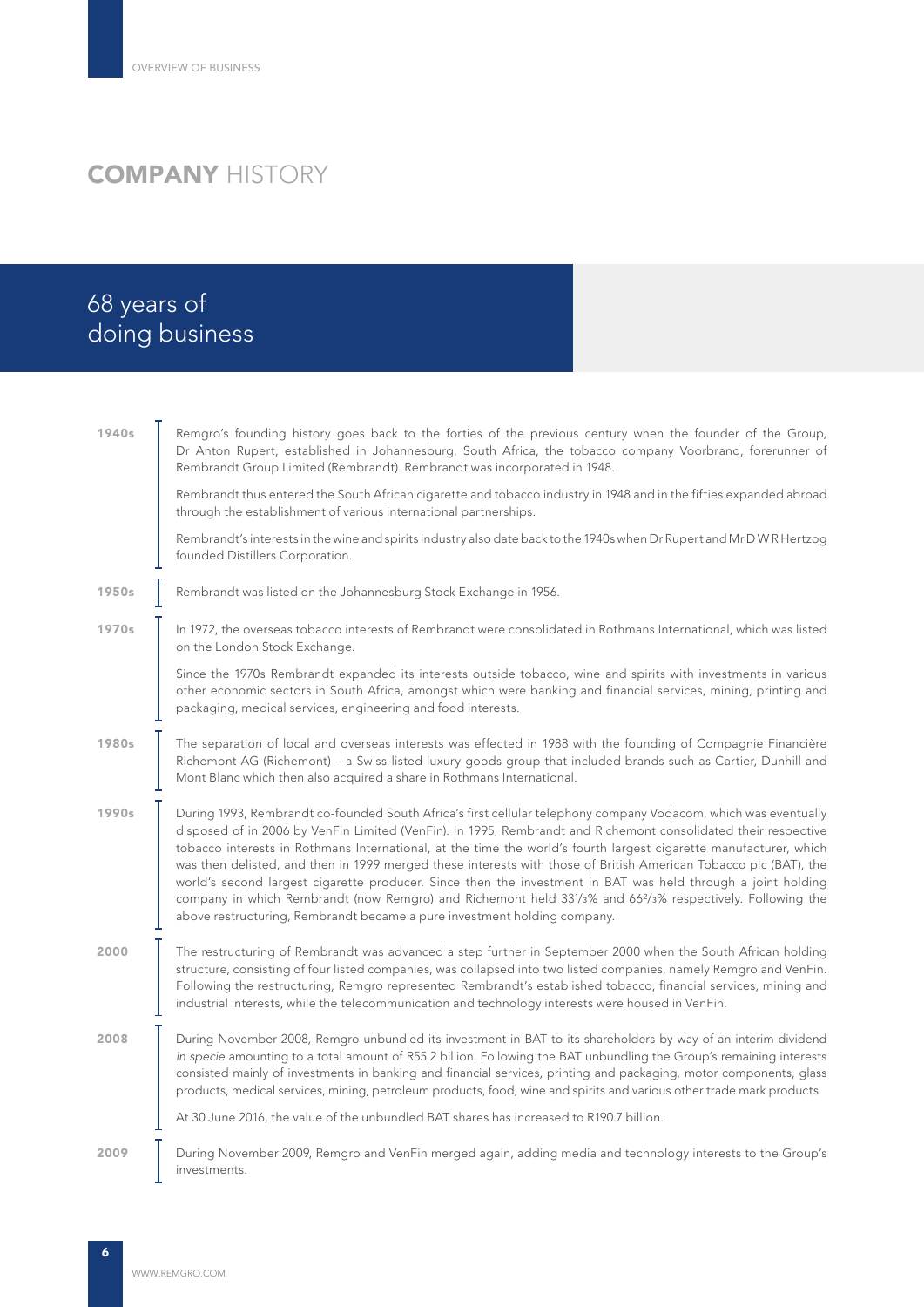## **COMPANY HISTORY**

## 68 years of doing business

| 1940s | Remgro's founding history goes back to the forties of the previous century when the founder of the Group,<br>Dr Anton Rupert, established in Johannesburg, South Africa, the tobacco company Voorbrand, forerunner of<br>Rembrandt Group Limited (Rembrandt). Rembrandt was incorporated in 1948.                                                                                                                                                                                                                                                                                                                                                                                                                                                                                               |
|-------|-------------------------------------------------------------------------------------------------------------------------------------------------------------------------------------------------------------------------------------------------------------------------------------------------------------------------------------------------------------------------------------------------------------------------------------------------------------------------------------------------------------------------------------------------------------------------------------------------------------------------------------------------------------------------------------------------------------------------------------------------------------------------------------------------|
|       | Rembrandt thus entered the South African cigarette and tobacco industry in 1948 and in the fifties expanded abroad<br>through the establishment of various international partnerships.                                                                                                                                                                                                                                                                                                                                                                                                                                                                                                                                                                                                          |
|       | Rembrandt's interests in the wine and spirits industry also date back to the 1940s when Dr Rupert and Mr DWR Hertzog<br>founded Distillers Corporation.                                                                                                                                                                                                                                                                                                                                                                                                                                                                                                                                                                                                                                         |
| 1950s | Rembrandt was listed on the Johannesburg Stock Exchange in 1956.                                                                                                                                                                                                                                                                                                                                                                                                                                                                                                                                                                                                                                                                                                                                |
| 1970s | In 1972, the overseas tobacco interests of Rembrandt were consolidated in Rothmans International, which was listed<br>on the London Stock Exchange.                                                                                                                                                                                                                                                                                                                                                                                                                                                                                                                                                                                                                                             |
|       | Since the 1970s Rembrandt expanded its interests outside tobacco, wine and spirits with investments in various<br>other economic sectors in South Africa, amongst which were banking and financial services, mining, printing and<br>packaging, medical services, engineering and food interests.                                                                                                                                                                                                                                                                                                                                                                                                                                                                                               |
| 1980s | The separation of local and overseas interests was effected in 1988 with the founding of Compagnie Financière<br>Richemont AG (Richemont) - a Swiss-listed luxury goods group that included brands such as Cartier, Dunhill and<br>Mont Blanc which then also acquired a share in Rothmans International.                                                                                                                                                                                                                                                                                                                                                                                                                                                                                       |
| 1990s | During 1993, Rembrandt co-founded South Africa's first cellular telephony company Vodacom, which was eventually<br>disposed of in 2006 by VenFin Limited (VenFin). In 1995, Rembrandt and Richemont consolidated their respective<br>tobacco interests in Rothmans International, at the time the world's fourth largest cigarette manufacturer, which<br>was then delisted, and then in 1999 merged these interests with those of British American Tobacco plc (BAT), the<br>world's second largest cigarette producer. Since then the investment in BAT was held through a joint holding<br>company in which Rembrandt (now Remgro) and Richemont held 331/3% and 66 <sup>2</sup> /3% respectively. Following the<br>above restructuring, Rembrandt became a pure investment holding company. |
| 2000  | The restructuring of Rembrandt was advanced a step further in September 2000 when the South African holding<br>structure, consisting of four listed companies, was collapsed into two listed companies, namely Remgro and VenFin.<br>Following the restructuring, Remgro represented Rembrandt's established tobacco, financial services, mining and<br>industrial interests, while the telecommunication and technology interests were housed in VenFin.                                                                                                                                                                                                                                                                                                                                       |
| 2008  | During November 2008, Remgro unbundled its investment in BAT to its shareholders by way of an interim dividend<br>in specie amounting to a total amount of R55.2 billion. Following the BAT unbundling the Group's remaining interests<br>consisted mainly of investments in banking and financial services, printing and packaging, motor components, glass<br>products, medical services, mining, petroleum products, food, wine and spirits and various other trade mark products.<br>At 30 June 2016, the value of the unbundled BAT shares has increased to R190.7 billion.                                                                                                                                                                                                                |
| 2009  | During November 2009, Remgro and VenFin merged again, adding media and technology interests to the Group's                                                                                                                                                                                                                                                                                                                                                                                                                                                                                                                                                                                                                                                                                      |
|       | investments.                                                                                                                                                                                                                                                                                                                                                                                                                                                                                                                                                                                                                                                                                                                                                                                    |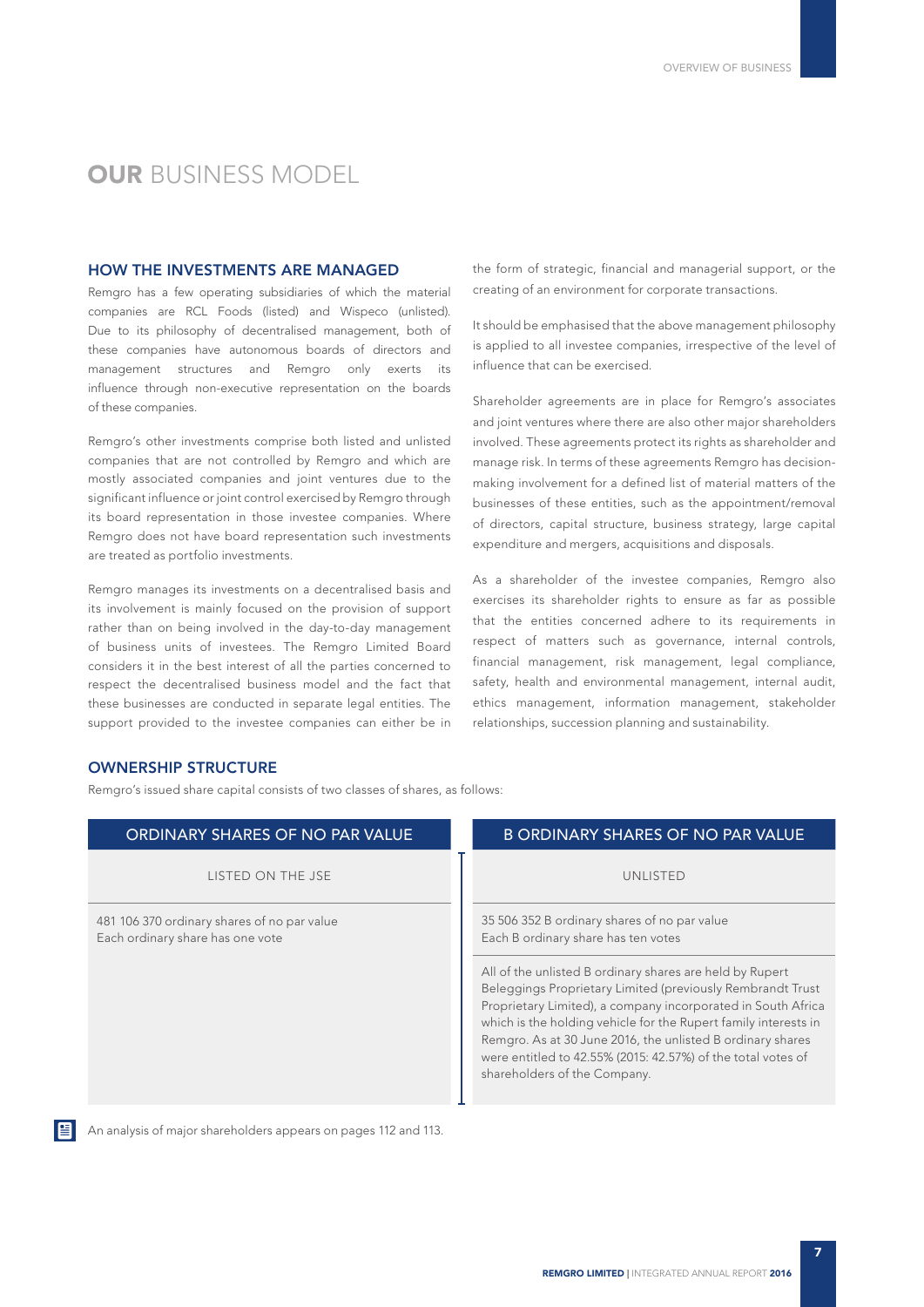#### **OUR BUSINESS MODEL**

#### HOW THE INVESTMENTS ARE MANAGED

Remgro has a few operating subsidiaries of which the material companies are RCL Foods (listed) and Wispeco (unlisted). Due to its philosophy of decentralised management, both of these companies have autonomous boards of directors and management structures and Remgro only exerts its influence through non-executive representation on the boards of these companies.

Remgro's other investments comprise both listed and unlisted companies that are not controlled by Remgro and which are mostly associated companies and joint ventures due to the significant influence or joint control exercised by Remgro through its board representation in those investee companies. Where Remgro does not have board representation such investments are treated as portfolio investments.

Remgro manages its investments on a decentralised basis and its involvement is mainly focused on the provision of support rather than on being involved in the day-to-day management of business units of investees. The Remgro Limited Board considers it in the best interest of all the parties concerned to respect the decentralised business model and the fact that these businesses are conducted in separate legal entities. The support provided to the investee companies can either be in

the form of strategic, financial and managerial support, or the creating of an environment for corporate transactions.

It should be emphasised that the above management philosophy is applied to all investee companies, irrespective of the level of influence that can be exercised.

Shareholder agreements are in place for Remgro's associates and joint ventures where there are also other major shareholders involved. These agreements protect its rights as shareholder and manage risk. In terms of these agreements Remgro has decisionmaking involvement for a defined list of material matters of the businesses of these entities, such as the appointment/removal of directors, capital structure, business strategy, large capital expenditure and mergers, acquisitions and disposals.

As a shareholder of the investee companies, Remgro also exercises its shareholder rights to ensure as far as possible that the entities concerned adhere to its requirements in respect of matters such as governance, internal controls, financial management, risk management, legal compliance, safety, health and environmental management, internal audit, ethics management, information management, stakeholder relationships, succession planning and sustainability.

#### OWNERSHIP STRUCTURE

Remgro's issued share capital consists of two classes of shares, as follows:

| ORDINARY SHARES OF NO PAR VALUE                                                 | <b>B ORDINARY SHARES OF NO PAR VALUE</b>                                                                                                                                                                                                                                                                                                                                                                                |
|---------------------------------------------------------------------------------|-------------------------------------------------------------------------------------------------------------------------------------------------------------------------------------------------------------------------------------------------------------------------------------------------------------------------------------------------------------------------------------------------------------------------|
| LISTED ON THE JSE                                                               | UNLISTED                                                                                                                                                                                                                                                                                                                                                                                                                |
| 481 106 370 ordinary shares of no par value<br>Each ordinary share has one vote | 35 506 352 B ordinary shares of no par value<br>Each B ordinary share has ten votes                                                                                                                                                                                                                                                                                                                                     |
|                                                                                 | All of the unlisted B ordinary shares are held by Rupert<br>Beleggings Proprietary Limited (previously Rembrandt Trust<br>Proprietary Limited), a company incorporated in South Africa<br>which is the holding vehicle for the Rupert family interests in<br>Remgro. As at 30 June 2016, the unlisted B ordinary shares<br>were entitled to 42.55% (2015: 42.57%) of the total votes of<br>shareholders of the Company. |



An analysis of major shareholders appears on pages 112 and 113.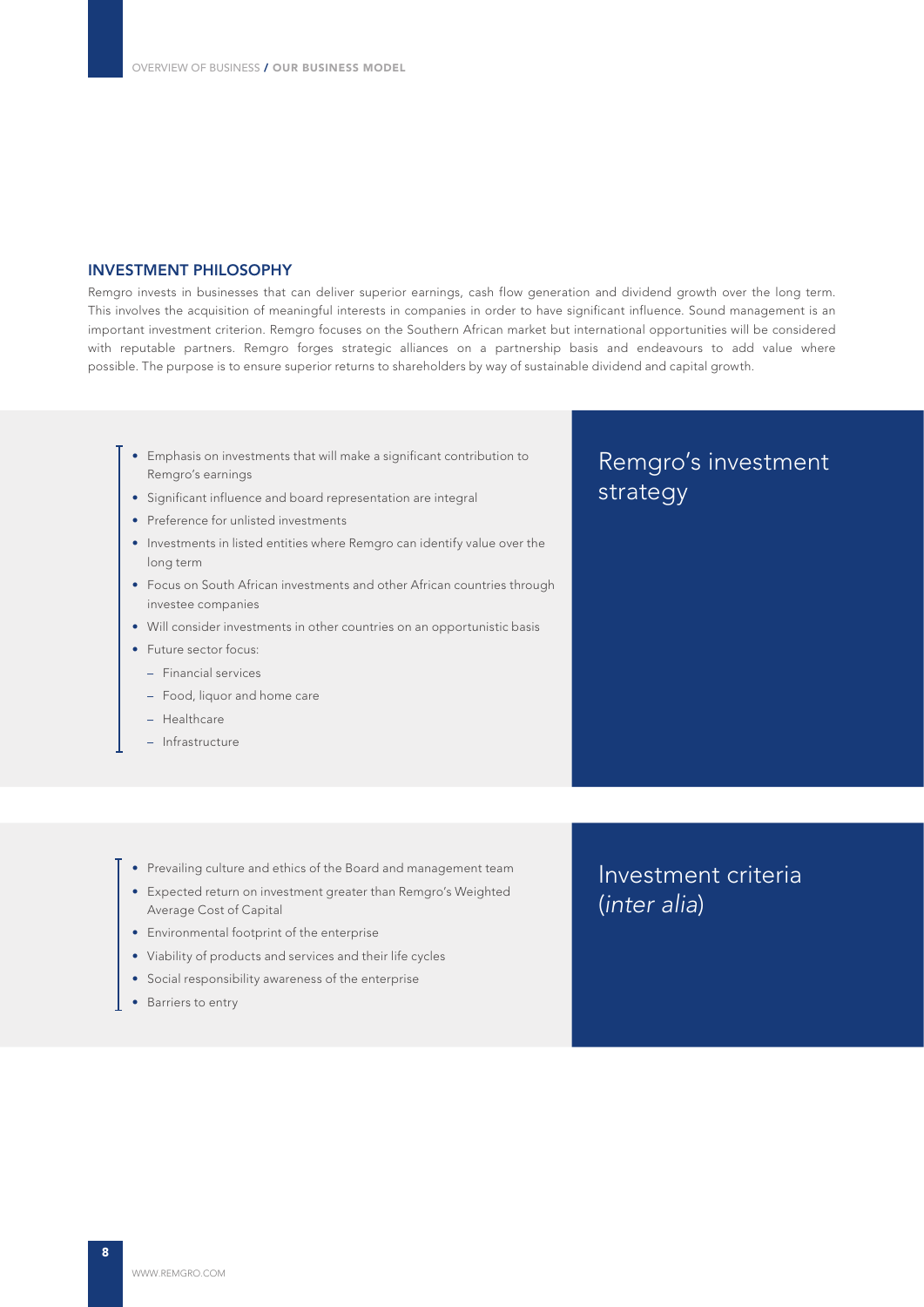#### INVESTMENT PHILOSOPHY

Remgro invests in businesses that can deliver superior earnings, cash flow generation and dividend growth over the long term. This involves the acquisition of meaningful interests in companies in order to have significant influence. Sound management is an important investment criterion. Remgro focuses on the Southern African market but international opportunities will be considered with reputable partners. Remgro forges strategic alliances on a partnership basis and endeavours to add value where possible. The purpose is to ensure superior returns to shareholders by way of sustainable dividend and capital growth.

- Emphasis on investments that will make a significant contribution to Remgro's earnings
- Significant influence and board representation are integral
- Preference for unlisted investments
- Investments in listed entities where Remgro can identify value over the long term
- Focus on South African investments and other African countries through investee companies
- Will consider investments in other countries on an opportunistic basis
- Future sector focus:
	- Financial services
	- Food, liquor and home care
	- Healthcare
	- Infrastructure

## Remgro's investment strategy

- Prevailing culture and ethics of the Board and management team
- Expected return on investment greater than Remgro's Weighted Average Cost of Capital
- Environmental footprint of the enterprise
- Viability of products and services and their life cycles
- Social responsibility awareness of the enterprise
- Barriers to entry

### Investment criteria (*inter alia*)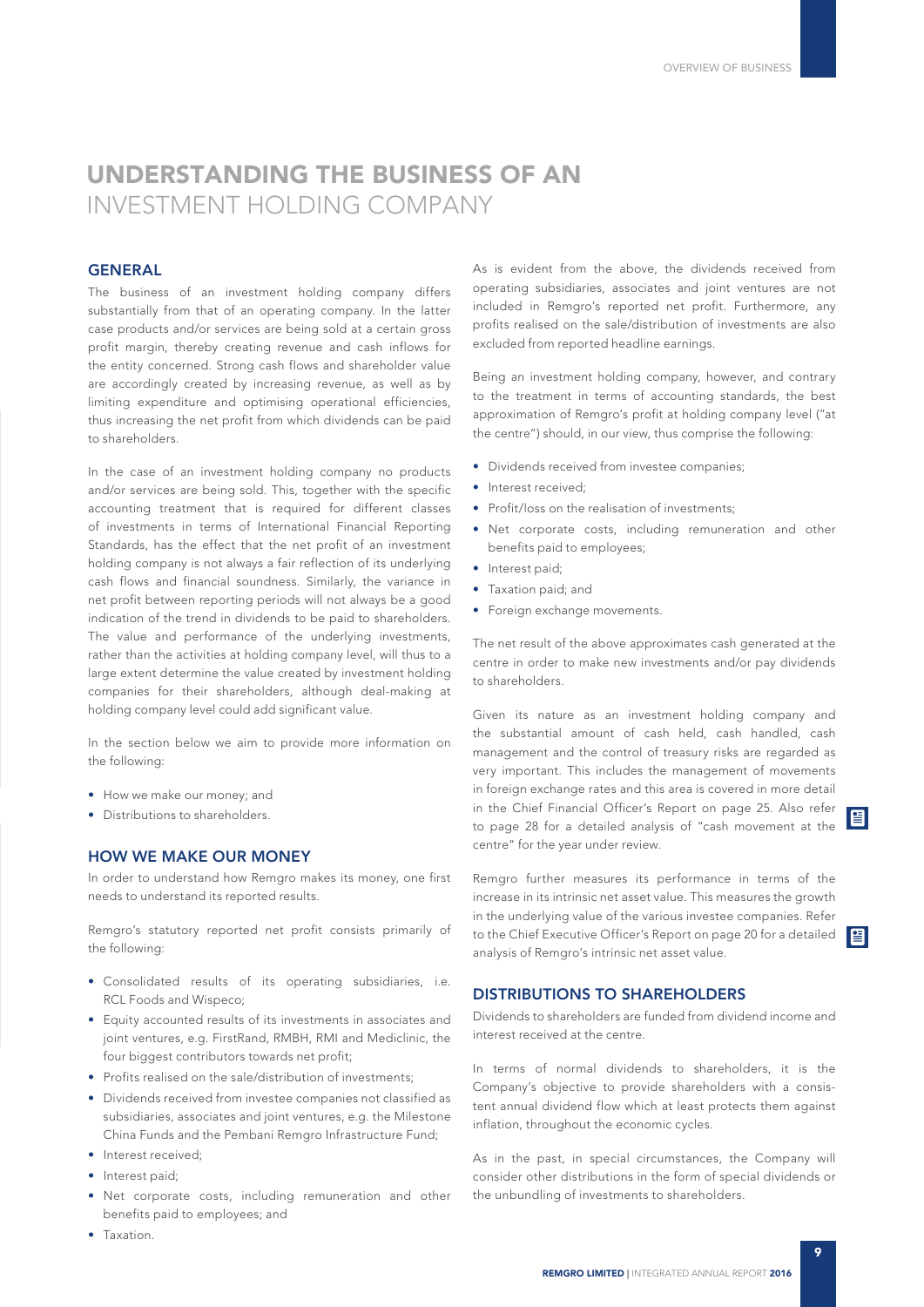## UNDERSTANDING THE BUSINESS OF AN INVESTMENT HOLDING COMPANY

#### **GENERAL**

The business of an investment holding company differs substantially from that of an operating company. In the latter case products and/or services are being sold at a certain gross profit margin, thereby creating revenue and cash inflows for the entity concerned. Strong cash flows and shareholder value are accordingly created by increasing revenue, as well as by limiting expenditure and optimising operational efficiencies, thus increasing the net profit from which dividends can be paid to shareholders.

In the case of an investment holding company no products and/or services are being sold. This, together with the specific accounting treatment that is required for different classes of investments in terms of International Financial Reporting Standards, has the effect that the net profit of an investment holding company is not always a fair reflection of its underlying cash flows and financial soundness. Similarly, the variance in net profit between reporting periods will not always be a good indication of the trend in dividends to be paid to shareholders. The value and performance of the underlying investments, rather than the activities at holding company level, will thus to a large extent determine the value created by investment holding companies for their shareholders, although deal-making at holding company level could add significant value.

In the section below we aim to provide more information on the following:

- How we make our money; and
- Distributions to shareholders.

#### HOW WE MAKE OUR MONEY

In order to understand how Remgro makes its money, one first needs to understand its reported results.

Remgro's statutory reported net profit consists primarily of the following:

- Consolidated results of its operating subsidiaries, i.e. RCL Foods and Wispeco;
- Equity accounted results of its investments in associates and joint ventures, e.g. FirstRand, RMBH, RMI and Mediclinic, the four biggest contributors towards net profit;
- Profits realised on the sale/distribution of investments;
- Dividends received from investee companies not classified as subsidiaries, associates and joint ventures, e.g. the Milestone China Funds and the Pembani Remgro Infrastructure Fund;
- Interest received;
- Interest paid;
- Net corporate costs, including remuneration and other benefits paid to employees; and

As is evident from the above, the dividends received from operating subsidiaries, associates and joint ventures are not included in Remgro's reported net profit. Furthermore, any profits realised on the sale/distribution of investments are also excluded from reported headline earnings.

Being an investment holding company, however, and contrary to the treatment in terms of accounting standards, the best approximation of Remgro's profit at holding company level ("at the centre") should, in our view, thus comprise the following:

- Dividends received from investee companies;
- Interest received:
- Profit/loss on the realisation of investments;
- Net corporate costs, including remuneration and other benefits paid to employees;
- Interest paid:
- Taxation paid; and
- Foreign exchange movements.

The net result of the above approximates cash generated at the centre in order to make new investments and/or pay dividends to shareholders.

Given its nature as an investment holding company and the substantial amount of cash held, cash handled, cash management and the control of treasury risks are regarded as very important. This includes the management of movements in foreign exchange rates and this area is covered in more detail in the Chief Financial Officer's Report on page 25. Also refer to page 28 for a detailed analysis of "cash movement at the centre" for the year under review.

Remgro further measures its performance in terms of the increase in its intrinsic net asset value. This measures the growth in the underlying value of the various investee companies. Refer to the Chief Executive Officer's Report on page 20 for a detailed analysis of Remgro's intrinsic net asset value.

#### DISTRIBUTIONS TO SHAREHOLDERS

Dividends to shareholders are funded from dividend income and interest received at the centre.

In terms of normal dividends to shareholders, it is the Company's objective to provide shareholders with a consistent annual dividend flow which at least protects them against inflation, throughout the economic cycles.

As in the past, in special circumstances, the Company will consider other distributions in the form of special dividends or the unbundling of investments to shareholders.

• Taxation.

图

目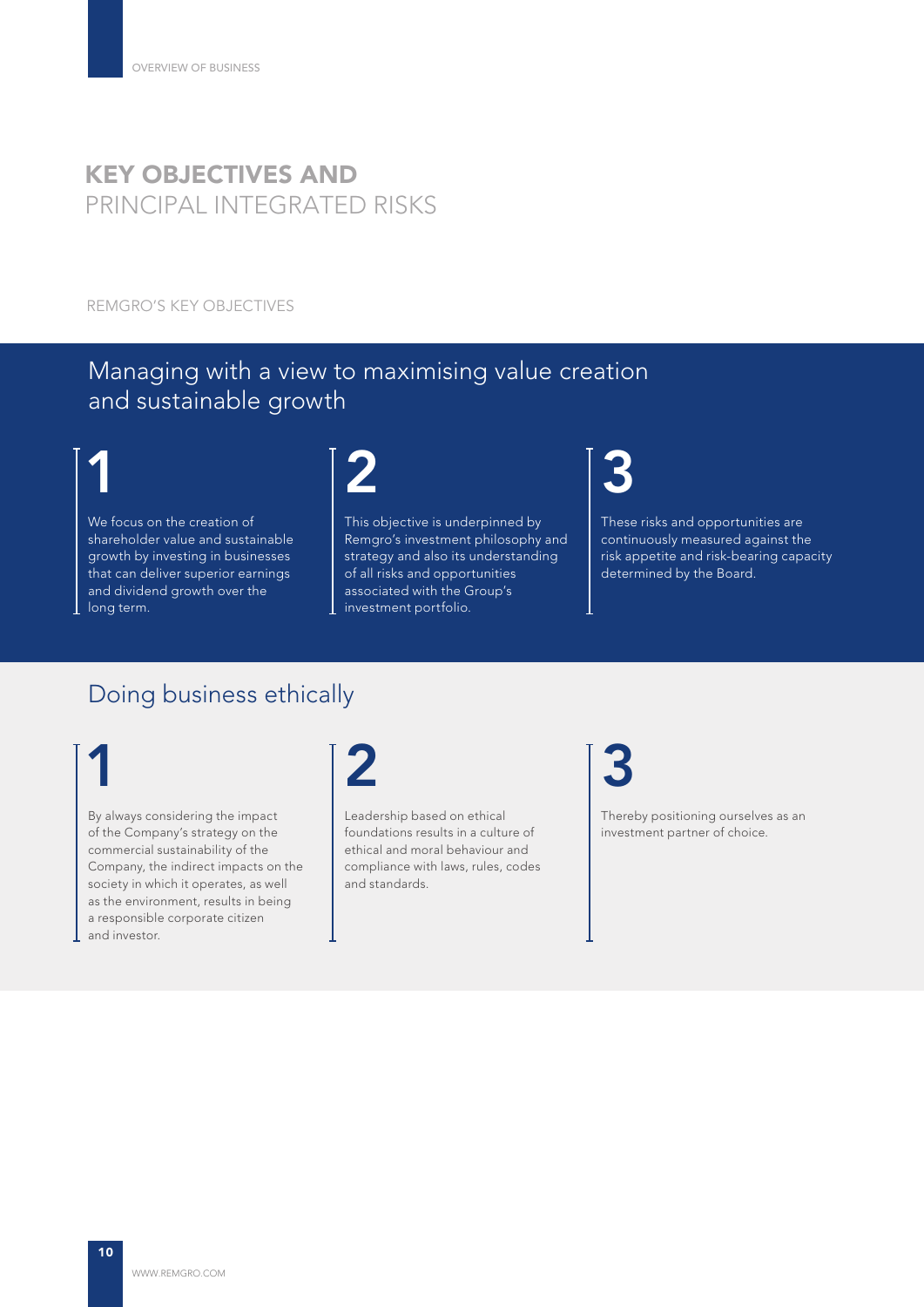## KEY OBJECTIVES AND PRINCIPAL INTEGRATED RISKS

REMGRO'S KEY OBJECTIVES

## Managing with a view to maximising value creation and sustainable growth

# 1

We focus on the creation of shareholder value and sustainable growth by investing in businesses that can deliver superior earnings and dividend growth over the long term.



This objective is underpinned by Remgro's investment philosophy and strategy and also its understanding of all risks and opportunities associated with the Group's investment portfolio.



These risks and opportunities are continuously measured against the risk appetite and risk-bearing capacity determined by the Board.

### Doing business ethically

# 1

By always considering the impact of the Company's strategy on the commercial sustainability of the Company, the indirect impacts on the society in which it operates, as well as the environment, results in being a responsible corporate citizen and investor.



Leadership based on ethical foundations results in a culture of ethical and moral behaviour and compliance with laws, rules, codes and standards.

3

Thereby positioning ourselves as an investment partner of choice.